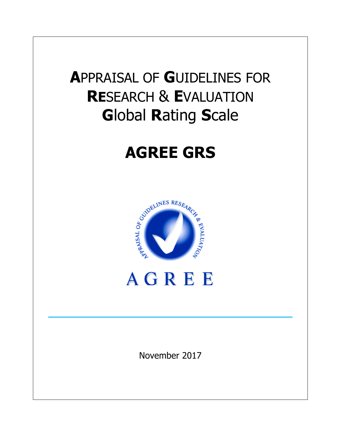## **A**PPRAISAL OF **G**UIDELINES FOR **RE**SEARCH & **E**VALUATION **G**lobal **R**ating **S**cale

# **AGREE GRS**





**\_\_\_\_\_\_\_\_\_\_\_\_\_\_\_\_\_\_\_\_\_\_\_\_\_\_\_\_\_\_\_\_\_\_\_\_\_\_\_\_\_\_\_\_\_\_\_\_\_\_\_\_\_\_\_\_\_\_\_\_\_\_\_\_\_\_\_\_\_\_\_\_\_\_\_\_\_\_\_\_\_\_\_**

November 2017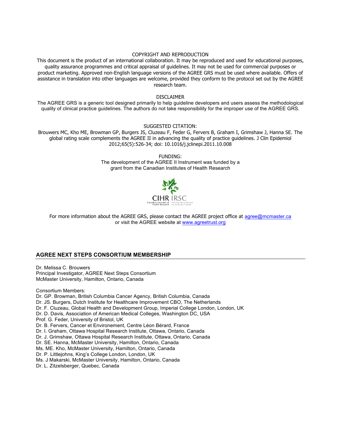#### COPYRIGHT AND REPRODUCTION

This document is the product of an international collaboration. It may be reproduced and used for educational purposes, quality assurance programmes and critical appraisal of guidelines. It may not be used for commercial purposes or product marketing. Approved non-English language versions of the AGREE GRS must be used where available. Offers of assistance in translation into other languages are welcome, provided they conform to the protocol set out by the AGREE research team.

#### DISCLAIMER

The AGREE GRS is a generic tool designed primarily to help guideline developers and users assess the methodological quality of clinical practice guidelines. The authors do not take responsibility for the improper use of the AGREE GRS.

#### SUGGESTED CITATION:

Brouwers MC, Kho ME, Browman GP, Burgers JS, Cluzeau F, Feder G, Fervers B, Graham I, Grimshaw J, Hanna SE. The global rating scale complements the AGREE II in advancing the quality of practice guidelines. J Clin Epidemiol 2012;65(5):526-34; doi: 10.1016/j.jclinepi.2011.10.008

> FUNDING: The development of the AGREE II Instrument was funded by a grant from the Canadian Institutes of Health Research



For more information about the AGREE GRS, please contact the AGREE project office at agree@mcmaster.ca or visit the AGREE website at www.agreetrust.org

#### **AGREE NEXT STEPS CONSORTIUM MEMBERSHIP**

Dr. Melissa C. Brouwers Principal Investigator, AGREE Next Steps Consortium McMaster University, Hamilton, Ontario, Canada

Consortium Members: Dr. GP. Browman, British Columbia Cancer Agency, British Columbia, Canada Dr. JS. Burgers, Dutch Institute for Healthcare Improvement CBO, The Netherlands Dr. F. Cluzeau, Global Health and Development Group, Imperial College London, London, UK Dr. D. Davis, Association of American Medical Colleges, Washington DC, USA Prof. G. Feder, University of Bristol, UK Dr. B. Fervers, Cancer et Environement, Centre Léon Bérard, France Dr. I. Graham, Ottawa Hospital Research Institute, Ottawa, Ontario, Canada Dr. J. Grimshaw, Ottawa Hospital Research Institute, Ottawa, Ontario, Canada Dr. SE. Hanna, McMaster University, Hamilton, Ontario, Canada Ms. ME. Kho, McMaster University, Hamilton, Ontario, Canada Dr. P. Littlejohns, King's College London, London, UK Ms. J Makarski, McMaster University, Hamilton, Ontario, Canada Dr. L. Zitzelsberger, Quebec, Canada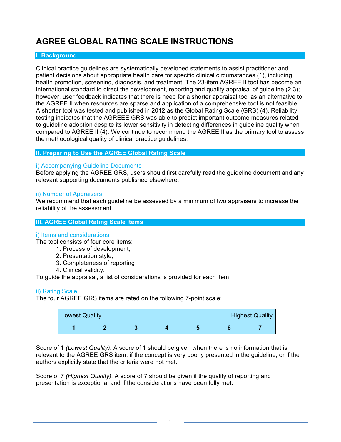## **AGREE GLOBAL RATING SCALE INSTRUCTIONS**

#### **I. Background**

Clinical practice guidelines are systematically developed statements to assist practitioner and patient decisions about appropriate health care for specific clinical circumstances (1), including health promotion, screening, diagnosis, and treatment. The 23-item AGREE II tool has become an international standard to direct the development, reporting and quality appraisal of guideline (2,3); however, user feedback indicates that there is need for a shorter appraisal tool as an alternative to the AGREE II when resources are sparse and application of a comprehensive tool is not feasible. A shorter tool was tested and published in 2012 as the Global Rating Scale (GRS) (4). Reliability testing indicates that the AGREEE GRS was able to predict important outcome measures related to guideline adoption despite its lower sensitivity in detecting differences in guideline quality when compared to AGREE II (4). We continue to recommend the AGREE II as the primary tool to assess the methodological quality of clinical practice guidelines.

#### **II. Preparing to Use the AGREE Global Rating Scale**

#### i) Accompanying Guideline Documents

Before applying the AGREE GRS, users should first carefully read the guideline document and any relevant supporting documents published elsewhere.

#### ii) Number of Appraisers

We recommend that each guideline be assessed by a minimum of two appraisers to increase the reliability of the assessment.

#### **III. AGREE Global Rating Scale Items**

#### i) Items and considerations

The tool consists of four core items:

- 1. Process of development,
- 2. Presentation style,
- 3. Completeness of reporting
- 4. Clinical validity.

To guide the appraisal, a list of considerations is provided for each item.

#### ii) Rating Scale

The four AGREE GRS items are rated on the following 7-point scale:

| Lowest Quality |  |  | <b>Highest Quality</b> |
|----------------|--|--|------------------------|
|                |  |  |                        |

Score of 1 *(Lowest Quality)*. A score of 1 should be given when there is no information that is relevant to the AGREE GRS item, if the concept is very poorly presented in the guideline, or if the authors explicitly state that the criteria were not met.

Score of 7 *(Highest Quality).* A score of 7 should be given if the quality of reporting and presentation is exceptional and if the considerations have been fully met.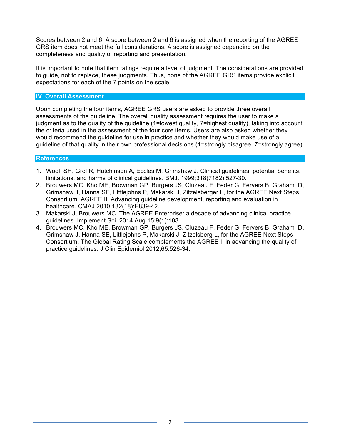Scores between 2 and 6. A score between 2 and 6 is assigned when the reporting of the AGREE GRS item does not meet the full considerations. A score is assigned depending on the completeness and quality of reporting and presentation.

It is important to note that item ratings require a level of judgment. The considerations are provided to guide, not to replace, these judgments. Thus, none of the AGREE GRS items provide explicit expectations for each of the 7 points on the scale.

#### **IV. Overall Assessment**

Upon completing the four items, AGREE GRS users are asked to provide three overall assessments of the guideline. The overall quality assessment requires the user to make a judgment as to the quality of the guideline (1=lowest quality, 7=highest quality), taking into account the criteria used in the assessment of the four core items. Users are also asked whether they would recommend the guideline for use in practice and whether they would make use of a guideline of that quality in their own professional decisions (1=strongly disagree, 7=strongly agree).

#### **References**

- 1. Woolf SH, Grol R, Hutchinson A, Eccles M, Grimshaw J. Clinical guidelines: potential benefits, limitations, and harms of clinical guidelines. BMJ. 1999;318(7182):527-30.
- 2. Brouwers MC, Kho ME, Browman GP, Burgers JS, Cluzeau F, Feder G, Fervers B, Graham ID, Grimshaw J, Hanna SE, LIttlejohns P, Makarski J, Zitzelsberger L, for the AGREE Next Steps Consortium. AGREE II: Advancing guideline development, reporting and evaluation in healthcare. CMAJ 2010;182(18):E839-42.
- 3. Makarski J, Brouwers MC. The AGREE Enterprise: a decade of advancing clinical practice guidelines. Implement Sci. 2014 Aug 15;9(1):103.
- 4. Brouwers MC, Kho ME, Browman GP, Burgers JS, Cluzeau F, Feder G, Fervers B, Graham ID, Grimshaw J, Hanna SE, Littlejohns P, Makarski J, Zitzelsberg L, for the AGREE Next Steps Consortium. The Global Rating Scale complements the AGREE II in advancing the quality of practice guidelines. J Clin Epidemiol 2012;65:526-34.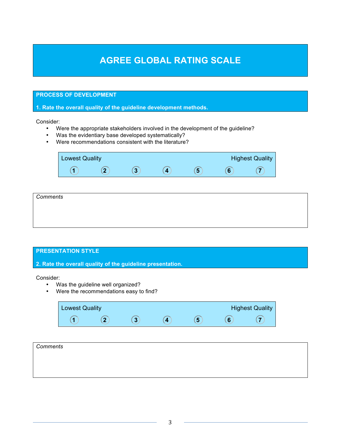## **AGREE GLOBAL RATING SCALE**

#### **PROCESS OF DEVELOPMENT**

**1. Rate the overall quality of the guideline development methods.**

Consider:

- Were the appropriate stakeholders involved in the development of the guideline?
- Was the evidentiary base developed systematically?
- Were recommendations consistent with the literature?

| <b>Lowest Quality</b> |  |   | <b>Highest Quality</b> |
|-----------------------|--|---|------------------------|
|                       |  | ю |                        |

| Comments |  |  |
|----------|--|--|
|          |  |  |
|          |  |  |
|          |  |  |

#### **PRESENTATION STYLE**

**2. Rate the overall quality of the guideline presentation.**

Consider:

- Was the guideline well organized?
- Were the recommendations easy to find?

| <b>Lowest Quality</b> |    |             | <b>Highest Quality</b> |
|-----------------------|----|-------------|------------------------|
|                       | ۰, | <b>COLL</b> |                        |

| Comments |  |  |
|----------|--|--|
|          |  |  |
|          |  |  |
|          |  |  |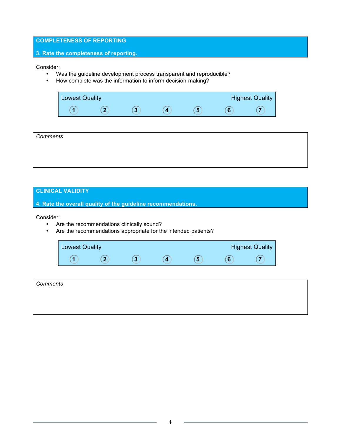#### **COMPLETENESS OF REPORTING**

#### **3. Rate the completeness of reporting.**

Consider:

- Was the guideline development process transparent and reproducible?
- How complete was the information to inform decision-making?

| Lowest Quality |  |  | <b>Highest Quality</b> |
|----------------|--|--|------------------------|
|                |  |  |                        |

| Comments |  |  |
|----------|--|--|
|          |  |  |
|          |  |  |
|          |  |  |

#### **CLINICAL VALIDITY**

**4. Rate the overall quality of the guideline recommendations.**

Consider:

- Are the recommendations clinically sound?
- Are the recommendations appropriate for the intended patients?

| <b>Lowest Quality</b> |  |   | <b>Highest Quality</b> |
|-----------------------|--|---|------------------------|
|                       |  | ю |                        |

| Comments |  |  |  |
|----------|--|--|--|
|          |  |  |  |
|          |  |  |  |
|          |  |  |  |